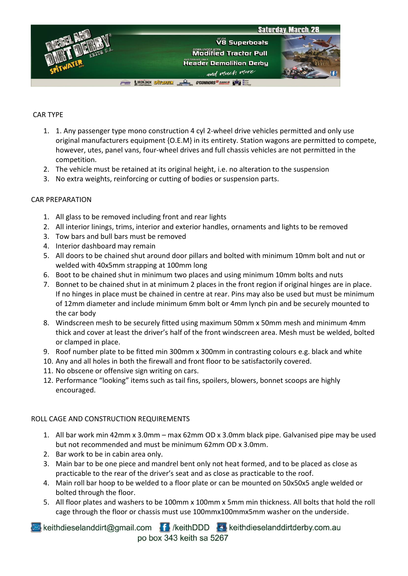

## CAR TYPE

- 1. 1. Any passenger type mono construction 4 cyl 2-wheel drive vehicles permitted and only use original manufacturers equipment {O.E.M} in its entirety. Station wagons are permitted to compete, however, utes, panel vans, four-wheel drives and full chassis vehicles are not permitted in the competition.
- 2. The vehicle must be retained at its original height, i.e. no alteration to the suspension
- 3. No extra weights, reinforcing or cutting of bodies or suspension parts.

## CAR PREPARATION

- 1. All glass to be removed including front and rear lights
- 2. All interior linings, trims, interior and exterior handles, ornaments and lights to be removed
- 3. Tow bars and bull bars must be removed
- 4. Interior dashboard may remain
- 5. All doors to be chained shut around door pillars and bolted with minimum 10mm bolt and nut or welded with 40x5mm strapping at 100mm long
- 6. Boot to be chained shut in minimum two places and using minimum 10mm bolts and nuts
- 7. Bonnet to be chained shut in at minimum 2 places in the front region if original hinges are in place. If no hinges in place must be chained in centre at rear. Pins may also be used but must be minimum of 12mm diameter and include minimum 6mm bolt or 4mm lynch pin and be securely mounted to the car body
- 8. Windscreen mesh to be securely fitted using maximum 50mm x 50mm mesh and minimum 4mm thick and cover at least the driver's half of the front windscreen area. Mesh must be welded, bolted or clamped in place.
- 9. Roof number plate to be fitted min 300mm x 300mm in contrasting colours e.g. black and white
- 10. Any and all holes in both the firewall and front floor to be satisfactorily covered.
- 11. No obscene or offensive sign writing on cars.
- 12. Performance "looking" items such as tail fins, spoilers, blowers, bonnet scoops are highly encouraged.

#### ROLL CAGE AND CONSTRUCTION REQUIREMENTS

- 1. All bar work min 42mm x 3.0mm max 62mm OD x 3.0mm black pipe. Galvanised pipe may be used but not recommended and must be minimum 62mm OD x 3.0mm.
- 2. Bar work to be in cabin area only.
- 3. Main bar to be one piece and mandrel bent only not heat formed, and to be placed as close as practicable to the rear of the driver's seat and as close as practicable to the roof.
- 4. Main roll bar hoop to be welded to a floor plate or can be mounted on 50x50x5 angle welded or bolted through the floor.
- 5. All floor plates and washers to be 100mm x 100mm x 5mm min thickness. All bolts that hold the roll cage through the floor or chassis must use 100mmx100mmx5mm washer on the underside.

keithdieselanddirt@gmail.com fil /keithDDD & keithdieselanddirtderby.com.au po box 343 keith sa 5267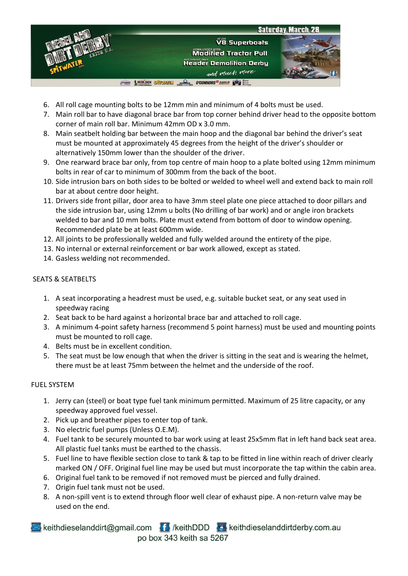

- 6. All roll cage mounting bolts to be 12mm min and minimum of 4 bolts must be used.
- 7. Main roll bar to have diagonal brace bar from top corner behind driver head to the opposite bottom corner of main roll bar. Minimum 42mm OD x 3.0 mm.
- 8. Main seatbelt holding bar between the main hoop and the diagonal bar behind the driver's seat must be mounted at approximately 45 degrees from the height of the driver's shoulder or alternatively 150mm lower than the shoulder of the driver.
- 9. One rearward brace bar only, from top centre of main hoop to a plate bolted using 12mm minimum bolts in rear of car to minimum of 300mm from the back of the boot.
- 10. Side intrusion bars on both sides to be bolted or welded to wheel well and extend back to main roll bar at about centre door height.
- 11. Drivers side front pillar, door area to have 3mm steel plate one piece attached to door pillars and the side intrusion bar, using 12mm u bolts (No drilling of bar work) and or angle iron brackets welded to bar and 10 mm bolts. Plate must extend from bottom of door to window opening. Recommended plate be at least 600mm wide.
- 12. All joints to be professionally welded and fully welded around the entirety of the pipe.
- 13. No internal or external reinforcement or bar work allowed, except as stated.
- 14. Gasless welding not recommended.

#### SEATS & SEATBELTS

- 1. A seat incorporating a headrest must be used, e.g. suitable bucket seat, or any seat used in speedway racing
- 2. Seat back to be hard against a horizontal brace bar and attached to roll cage.
- 3. A minimum 4-point safety harness (recommend 5 point harness) must be used and mounting points must be mounted to roll cage.
- 4. Belts must be in excellent condition.
- 5. The seat must be low enough that when the driver is sitting in the seat and is wearing the helmet, there must be at least 75mm between the helmet and the underside of the roof.

#### FUEL SYSTEM

- 1. Jerry can (steel) or boat type fuel tank minimum permitted. Maximum of 25 litre capacity, or any speedway approved fuel vessel.
- 2. Pick up and breather pipes to enter top of tank.
- 3. No electric fuel pumps (Unless O.E.M).
- 4. Fuel tank to be securely mounted to bar work using at least 25x5mm flat in left hand back seat area. All plastic fuel tanks must be earthed to the chassis.
- 5. Fuel line to have flexible section close to tank & tap to be fitted in line within reach of driver clearly marked ON / OFF. Original fuel line may be used but must incorporate the tap within the cabin area.
- 6. Original fuel tank to be removed if not removed must be pierced and fully drained.
- 7. Origin fuel tank must not be used.
- 8. A non-spill vent is to extend through floor well clear of exhaust pipe. A non-return valve may be used on the end.
- keithdieselanddirt@gmail.com file /keithDDD colkeithdieselanddirtderby.com.au po box 343 keith sa 5267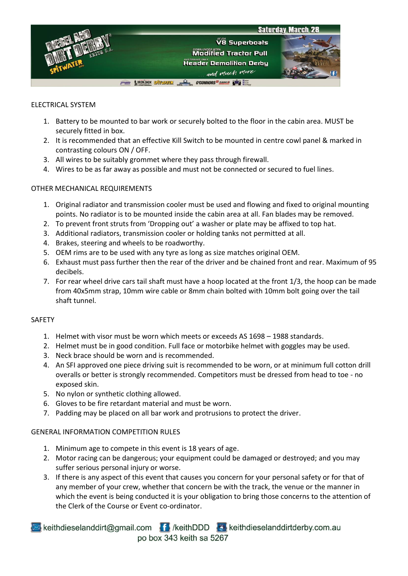

#### ELECTRICAL SYSTEM

- 1. Battery to be mounted to bar work or securely bolted to the floor in the cabin area. MUST be securely fitted in box.
- 2. It is recommended that an effective Kill Switch to be mounted in centre cowl panel & marked in contrasting colours ON / OFF.
- 3. All wires to be suitably grommet where they pass through firewall.
- 4. Wires to be as far away as possible and must not be connected or secured to fuel lines.

#### OTHER MECHANICAL REQUIREMENTS

- 1. Original radiator and transmission cooler must be used and flowing and fixed to original mounting points. No radiator is to be mounted inside the cabin area at all. Fan blades may be removed.
- 2. To prevent front struts from 'Dropping out' a washer or plate may be affixed to top hat.
- 3. Additional radiators, transmission cooler or holding tanks not permitted at all.
- 4. Brakes, steering and wheels to be roadworthy.
- 5. OEM rims are to be used with any tyre as long as size matches original OEM.
- 6. Exhaust must pass further then the rear of the driver and be chained front and rear. Maximum of 95 decibels.
- 7. For rear wheel drive cars tail shaft must have a hoop located at the front 1/3, the hoop can be made from 40x5mm strap, 10mm wire cable or 8mm chain bolted with 10mm bolt going over the tail shaft tunnel.

#### SAFETY

- 1. Helmet with visor must be worn which meets or exceeds AS 1698 1988 standards.
- 2. Helmet must be in good condition. Full face or motorbike helmet with goggles may be used.
- 3. Neck brace should be worn and is recommended.
- 4. An SFI approved one piece driving suit is recommended to be worn, or at minimum full cotton drill overalls or better is strongly recommended. Competitors must be dressed from head to toe - no exposed skin.
- 5. No nylon or synthetic clothing allowed.
- 6. Gloves to be fire retardant material and must be worn.
- 7. Padding may be placed on all bar work and protrusions to protect the driver.

#### GENERAL INFORMATION COMPETITION RULES

- 1. Minimum age to compete in this event is 18 years of age.
- 2. Motor racing can be dangerous; your equipment could be damaged or destroyed; and you may suffer serious personal injury or worse.
- 3. If there is any aspect of this event that causes you concern for your personal safety or for that of any member of your crew, whether that concern be with the track, the venue or the manner in which the event is being conducted it is your obligation to bring those concerns to the attention of the Clerk of the Course or Event co-ordinator.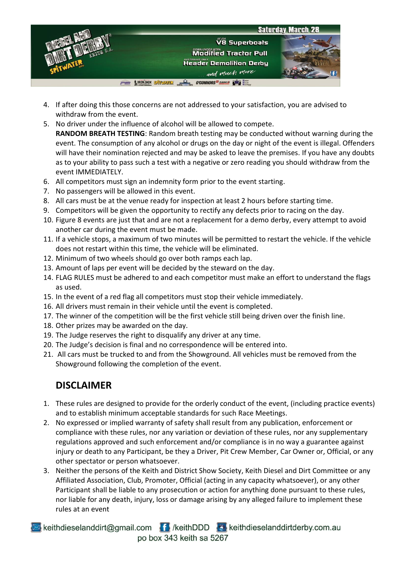

- 4. If after doing this those concerns are not addressed to your satisfaction, you are advised to withdraw from the event.
- 5. No driver under the influence of alcohol will be allowed to compete. **RANDOM BREATH TESTING**: Random breath testing may be conducted without warning during the event. The consumption of any alcohol or drugs on the day or night of the event is illegal. Offenders will have their nomination rejected and may be asked to leave the premises. If you have any doubts as to your ability to pass such a test with a negative or zero reading you should withdraw from the event IMMEDIATELY.
- 6. All competitors must sign an indemnity form prior to the event starting.
- 7. No passengers will be allowed in this event.
- 8. All cars must be at the venue ready for inspection at least 2 hours before starting time.
- 9. Competitors will be given the opportunity to rectify any defects prior to racing on the day.
- 10. Figure 8 events are just that and are not a replacement for a demo derby, every attempt to avoid another car during the event must be made.
- 11. If a vehicle stops, a maximum of two minutes will be permitted to restart the vehicle. If the vehicle does not restart within this time, the vehicle will be eliminated.
- 12. Minimum of two wheels should go over both ramps each lap.
- 13. Amount of laps per event will be decided by the steward on the day.
- 14. FLAG RULES must be adhered to and each competitor must make an effort to understand the flags as used.
- 15. In the event of a red flag all competitors must stop their vehicle immediately.
- 16. All drivers must remain in their vehicle until the event is completed.
- 17. The winner of the competition will be the first vehicle still being driven over the finish line.
- 18. Other prizes may be awarded on the day.
- 19. The Judge reserves the right to disqualify any driver at any time.
- 20. The Judge's decision is final and no correspondence will be entered into.
- 21. All cars must be trucked to and from the Showground. All vehicles must be removed from the Showground following the completion of the event.

# **DISCLAIMER**

- 1. These rules are designed to provide for the orderly conduct of the event, (including practice events) and to establish minimum acceptable standards for such Race Meetings.
- 2. No expressed or implied warranty of safety shall result from any publication, enforcement or compliance with these rules, nor any variation or deviation of these rules, nor any supplementary regulations approved and such enforcement and/or compliance is in no way a guarantee against injury or death to any Participant, be they a Driver, Pit Crew Member, Car Owner or, Official, or any other spectator or person whatsoever.
- 3. Neither the persons of the Keith and District Show Society, Keith Diesel and Dirt Committee or any Affiliated Association, Club, Promoter, Official (acting in any capacity whatsoever), or any other Participant shall be liable to any prosecution or action for anything done pursuant to these rules, nor liable for any death, injury, loss or damage arising by any alleged failure to implement these rules at an event

keithdieselanddirt@gmail.com fil /keithDDD & keithdieselanddirtderby.com.au po box 343 keith sa 5267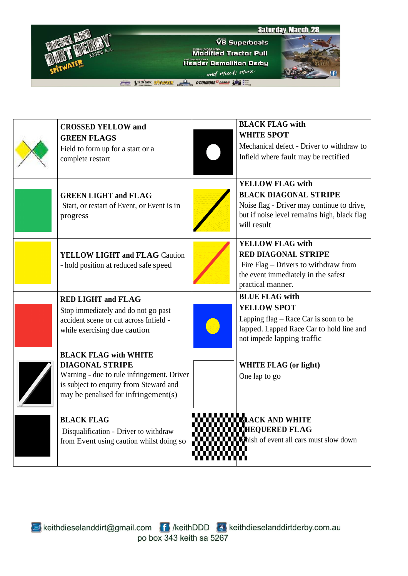



THE LIBON JACK SHIP LAND SON CONNORS CASE OF THE MAIL

| <b>CROSSED YELLOW and</b><br><b>GREEN FLAGS</b><br>Field to form up for a start or a<br>complete restart                                                                               | <b>BLACK FLAG with</b><br><b>WHITE SPOT</b><br>Mechanical defect - Driver to withdraw to<br>Infield where fault may be rectified                                    |
|----------------------------------------------------------------------------------------------------------------------------------------------------------------------------------------|---------------------------------------------------------------------------------------------------------------------------------------------------------------------|
| <b>GREEN LIGHT and FLAG</b><br>Start, or restart of Event, or Event is in<br>progress                                                                                                  | <b>YELLOW FLAG with</b><br><b>BLACK DIAGONAL STRIPE</b><br>Noise flag - Driver may continue to drive,<br>but if noise level remains high, black flag<br>will result |
| YELLOW LIGHT and FLAG Caution<br>- hold position at reduced safe speed                                                                                                                 | <b>YELLOW FLAG with</b><br><b>RED DIAGONAL STRIPE</b><br>Fire Flag – Drivers to withdraw from<br>the event immediately in the safest<br>practical manner.           |
| <b>RED LIGHT and FLAG</b><br>Stop immediately and do not go past<br>accident scene or cut across Infield -<br>while exercising due caution                                             | <b>BLUE FLAG with</b><br><b>YELLOW SPOT</b><br>Lapping $flag - Race Car$ is soon to be<br>lapped. Lapped Race Car to hold line and<br>not impede lapping traffic    |
| <b>BLACK FLAG with WHITE</b><br><b>DIAGONAL STRIPE</b><br>Warning - due to rule infringement. Driver<br>is subject to enquiry from Steward and<br>may be penalised for infringement(s) | <b>WHITE FLAG (or light)</b><br>One lap to go                                                                                                                       |
| <b>BLACK FLAG</b><br>Disqualification - Driver to withdraw<br>from Event using caution whilst doing so                                                                                 | <b>ELACK AND WHITE</b><br><b>CHEQUERED FLAG</b><br><b>Thish of event all cars must slow down</b>                                                                    |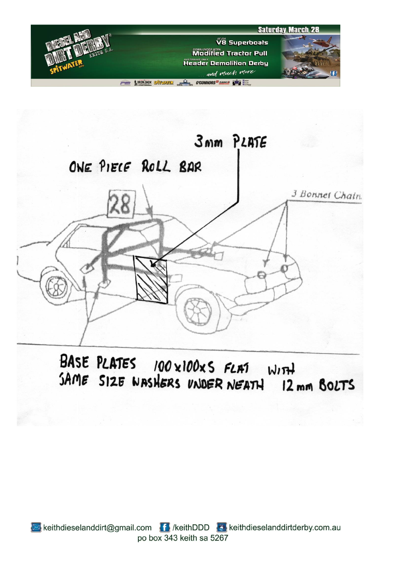



BASE PLATES 100 x100x5 FLAT WITH SAME SIZE WASHERS UNDER NEATH 12 mm BOLTS